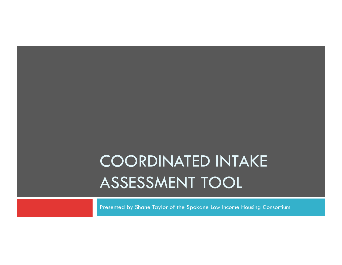# COORDINATED INTAKE ASSESSMENT TOOL

Presented by Shane Taylor of the Spokane Low Income Housing Consortium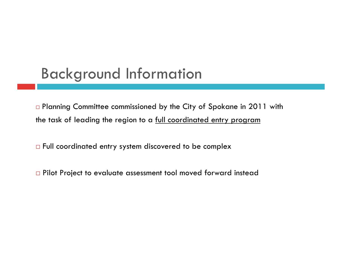### Background Information

□ Planning Committee commissioned by the City of Spokane in 2011 with the task of leading the region to a full coordinated entry program

□ Full coordinated entry system discovered to be complex

□ Pilot Project to evaluate assessment tool moved forward instead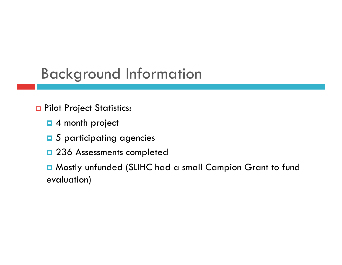## Background Information

- **Pilot Project Statistics:** 
	- $\blacksquare$  4 month project
	- $\Box$  5 participating agencies
	- $\Box$  236 Assessments completed

 Mostly unfunded (SLIHC had a small Campion Grant to fund evaluation)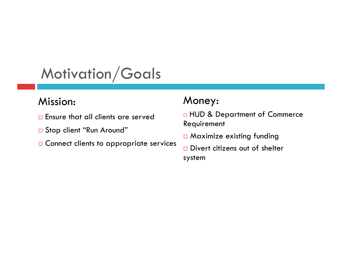# Motivation/Goals

#### Mission:

- **Ensure that all clients are served**
- □ Stop client "Run Around"
- □ Connect clients to appropriate services

#### Money:

□ HUD & Department of Commerce Requirement

Maximize existing funding

□ Divert citizens out of shelter system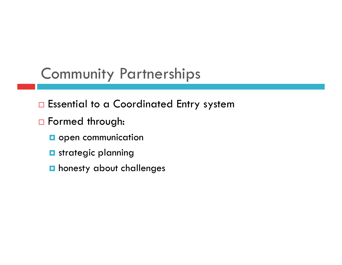# Community Partnerships

- □ Essential to a Coordinated Entry system
- □ Formed through:
	- **D** open communication
	- **D** strategic planning
	- **n** honesty about challenges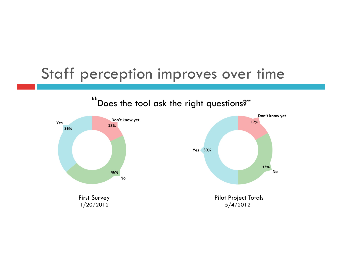### Staff perception improves over time



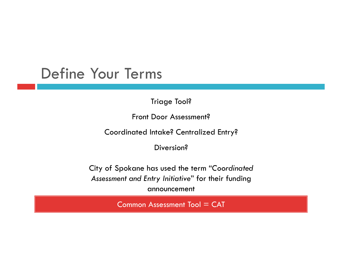#### Define Your Terms

Triage Tool?

Front Door Assessment?

Coordinated Intake? Centralized Entry?

Diversion?

City of Spokane has used the term "*Coordinated Assessment and Entry Initiative*" for their funding announcement

 $Common Assessment Tool = CAT$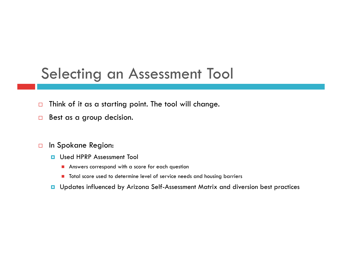#### Selecting an Assessment Tool

- $\Box$  Think of it as a starting point. The tool will change.
- $\Box$  Best as a group decision.
- In Spokane Region:
	- **D** Used HPRP Assessment Tool
		- Answers correspond with a score for each question
		- **T** Total score used to determine level of service needs and housing barriers
	- **u** Updates influenced by Arizona Self-Assessment Matrix and diversion best practices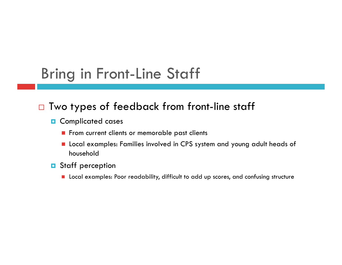# Bring in Front-Line Staff

#### □ Two types of feedback from front-line staff

- **D** Complicated cases
	- From current clients or memorable past clients
	- Local examples: Families involved in CPS system and young adult heads of household
- **D** Staff perception
	- **Local examples: Poor readability, difficult to add up scores, and confusing structure**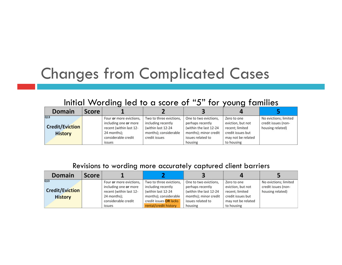## Changes from Complicated Cases

#### Initial Wording led to a score of "5" for young families

| <b>Domain</b>          | <b>Score</b> | . .                     |                         |                        | . .                |                       |
|------------------------|--------------|-------------------------|-------------------------|------------------------|--------------------|-----------------------|
| Q13                    |              | Four or more evictions, | Two to three evictions, | One to two evictions,  | Zero to one        | No evictions; limited |
|                        |              | including one or more   | including recently      | perhaps recently       | eviction, but not  | credit issues (non-   |
| <b>Credit/Eviction</b> |              | recent (within last 12- | (within last 12-24      | (within the last 12-24 | recent; limited    | housing related)      |
| <b>History</b>         |              | 24 months);             | months); considerable   | months); minor credit  | credit issues but  |                       |
|                        |              | considerable credit     | credit issues           | issues related to      | may not be related |                       |
|                        |              | issues                  |                         | housing                | to housing         |                       |

#### Revisions to wording more accurately captured client barriers

| <b>Domain</b>          | <b>Score</b> |                         |                         |                        |                    |                       |
|------------------------|--------------|-------------------------|-------------------------|------------------------|--------------------|-----------------------|
| Q13                    |              | Four or more evictions, | Two to three evictions, | One to two evictions,  | Zero to one        | No evictions; limited |
|                        |              | including one or more   | including recently      | perhaps recently       | eviction, but not  | credit issues (non-   |
| <b>Credit/Eviction</b> |              | recent (within last 12- | (within last 12-24      | (within the last 12-24 | recent; limited    | housing related)      |
| <b>History</b>         |              | 24 months);             | months); considerable   | months); minor credit  | credit issues but  |                       |
|                        |              | considerable credit     | credit issues OR lacks  | issues related to      | may not be related |                       |
|                        |              | issues                  | rental/credit history   | housing                | to housing         |                       |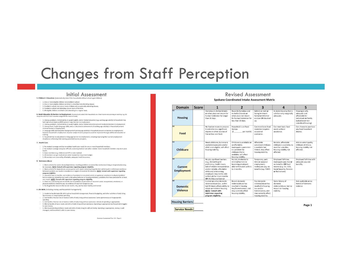## Changes from Staff Perception

- 1. One or more eligible children not enrolled in school.
- 
- 2. One or more eligible children enrolled in school but not attending classes.<br>3. Enrolled in school, but one or more children only occasionally attending classes.
- 4. Enrolled in school, but one of more emidial biny deceasions,<br>5. All eligible children enrolled in and attending on a regular basis
- 

6. Adult Education & Barriers to Employment: (Automatically select 5 for households on a fixed income not planning on working-e.g. SSI sing HPRP for move in funds) ts with HUD VASH vouchers a

- 1. Literacy problems, limited ability to speak English, and/or limited education (e.g. working-age adult(s) in household may lack high school diploma/GED) present major barriers to employment.
- 2. Literacy problems, limited ability to speak English, and/or limited education present moderate barriers to employment.<br>3. Literacy level, English language skills, and; or educational achievement of working-age adults(s)
- minimal barriers to employment.
- imminum contracts comproments.<br>4. Language skills and education background of working-age adult(s) in household present no barriers to employment;<br>however household's employment situation and/or income prospects could be i
- training. vanimg.<br>5. Household has no educational or language barriers to employment, including improving their current employment<br>situation or enhancing their earning potential/income prospects.

#### 7. Health Care

- 
- 1. No medical coverage and has immediate health care needs for one or more household members. 2. No medical coverage and great difficulty assessing medical care when needed. Some household members may be in poor health
- 3. Some members (e.g. children) on CHP or state medical.
- 4. All members can get medical care when needed but may strain budget. 5. All members are covered by affordable, adequate health insurance.
- 8. Substance Abuse

- $\square$  1. Meets criteria for severe abuse/dependence; resulting problems so severe that institutional living or hospitalization may be necessary. NOTE: Consult with supervisor regarding program eligibility.
- $\square$  2. Meets criteria for dependence; preoccupation with use/or obtaining drugs/alcohol; withdrawal or withdrawal avoidance behaviors evident; use results in avoidance or neglect of essential life activities. **NOTE: Cons**
- program eligibility.
- 3. Use within last six months, and evidence of persistent or recurrent social, occupational, emotional or physical problem 3. Our wintin isst satisfied to use (such as disruptive behavior or housing problems); problems that have persisted for at least<br>but no evidences related to use (such as disruptive behavior or housing problems); problems t
- 
- 
- $\Box$  4. Client has used during last six months but no evidence of persistent or recurrent social, occupational, emotional, or physical problems related to use, no evidence of recurrent dangerous use.<br>S. No drug/alcohol ab

#### 9. Life Skills (including money and household management)

- $\Box$  1. Unable to handle basic life skills such as household management, financial budgeting, and other activities of daily living. Spontaneous or inappropriate spending.
- □ 2. Can handle a few but not all needs or skills of daily living without assistance. Some spontaneous or inappropriate spending. 3. Can handle a few but not all needs or skills of daily living without assistance. Almost all spending is appropriate.
- 4. Able to handle all basic needs and skills of daily living without assistance. Spending is appropriate but household struggles to save money.
- 5. Able to provide beyond basic needs and skills of daily living for self and family. Spending is appropriate, money is well managed, and household is able to save money.

#### Initial Assessment all the seducation: (Automatically select 5 for households without school-aged children) and colleged children in the seducation (Automatically select 5 for households without school-aged children)

#### **Spokane Coordinated Intake Assessment Matrix**

| Domain                                         | <b>Score</b> |                                                                                                                                                                                                                                                                                | $\overline{\phantom{a}}$                                                                                                                                       | 3                                                                                                                                            | Д                                                                                                                                               | 5                                                                                                                        |
|------------------------------------------------|--------------|--------------------------------------------------------------------------------------------------------------------------------------------------------------------------------------------------------------------------------------------------------------------------------|----------------------------------------------------------------------------------------------------------------------------------------------------------------|----------------------------------------------------------------------------------------------------------------------------------------------|-------------------------------------------------------------------------------------------------------------------------------------------------|--------------------------------------------------------------------------------------------------------------------------|
| $\overline{Q1}$<br><b>Housing</b>              |              | Homeless in shelter/streets<br>or other place not meant for<br>human habitation for longer<br>than 30 days.                                                                                                                                                                    | Recently homeless and<br>in shelter/streets or<br>other place not meant<br>for human habitation for<br>less than 30 days.                                      | Behind on rent or<br>facing imminent<br>formal or informal<br>eviction OR doubled<br>up.                                                     | In stable housing that is<br>safe but only marginally<br>adequate.                                                                              | Housing is safe.<br>adequate and<br>affordable for<br>individuals or family.<br>(subsidize or non<br>subsidized housing) |
| Q2<br>Food                                     |              | No food or means to prepare<br>it and relies to a significant<br>degree on other sources of<br>free or low cost food.                                                                                                                                                          | Household is on Food<br>Stamps.<br>(s<br>per month)                                                                                                            | Can meet basic food<br>needs but requires<br>occasional<br>assistance.                                                                       | Can meet basic food<br>needs without<br>assistance.                                                                                             | Can choose to purchase<br>any food household<br>desires.                                                                 |
| Q3<br>Childcare                                |              | Needs childcare, but none is<br>available/assessable and/or<br>child is not eligible, will affect<br>housing stability.                                                                                                                                                        | Childcare is unreliable or<br>unaffordable:<br>inadequate supervision<br>is a problem for<br>childcare that is<br>available, will affect<br>housing stability. | Affordable<br>subsidized childcare<br>is available but<br>limited, may affect<br>housing stability.                                          | Reliable, affordable<br>childcare is available: no<br>need for subsidies.<br>housing stability not<br>affected.                                 | Able to select quality<br>childcare of choice.<br>housing stability not<br>affected.                                     |
| Q4<br>Current<br><b>Employment</b>             |              | No job, significant barriers<br>(e.g., limited English<br>proficiency, health issues,<br>lack of reliable transportation<br>and/or reliable, affordable<br>childcare) to becoming<br>employed; may not be able<br>to find job for 3 to 6 months<br><b>OR</b> WorkSource Exempt | No Job, moderate to<br>minimal barriers to<br>becoming employed;<br>able to find work within1<br>to 2 months.                                                  | Temporary, part-<br>time or seasonal<br>employment;<br>inadequate pay; no<br>benefits (e.g. TANF)                                            | Employed full-time:<br>inadequate pay; few or<br>no benefits: OR fixed<br>income (e.g. SSI, SSDI,<br>Social Security, Pension<br>or Retirement) | Employed full-time with<br>adequate pay and<br>benefits.                                                                 |
| $\overline{Q5}$<br><b>Domestic</b><br>Violence |              | Current or active domestic<br>violence/abuse (i.e., within<br>last 90 days); affects ability to<br>obtain or maintain housing.<br><b>NOTE: Consult with</b><br>supervisor regarding<br>program eligibility.                                                                    | Recent domestic<br>violence/abuse has<br>resulted in housing<br>loss/homelessness, and<br>may currently affect<br>housing stability.                           | Past domestic<br>violence/abuse has<br>resulted in housing<br>loss and/or<br>homelessness, and<br>may currently affect<br>housing stability. | Some history of<br>domestic<br>violence/abuse, but no<br>impact on housing<br>stability.                                                        | Not applicable or no<br>history of domestic<br>violence                                                                  |

**Housing Barriers:** 

Page 1

**Service Needs:** 

Common Assessment Tool: V3 - Page 4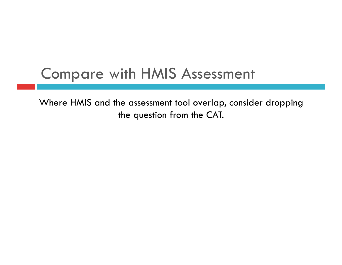### Compare with HMIS Assessment

Where HMIS and the assessment tool overlap, consider dropping the question from the CAT.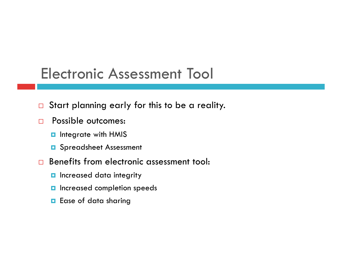#### Electronic Assessment Tool

- □ Start planning early for this to be a reality.
- **Possible outcomes:** 
	- **n** Integrate with HMIS
	- **D** Spreadsheet Assessment
- □ Benefits from electronic assessment tool:
	- **n** Increased data integrity
	- **n** Increased completion speeds
	- **E** Ease of data sharing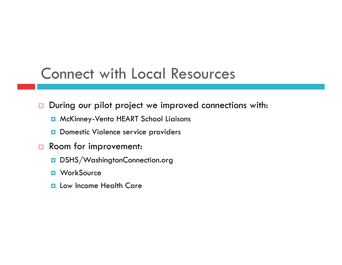### Connect with Local Resources

 $\Box$  During our pilot project we improved connections with:

- **D** McKinney-Vento HEART School Liaisons
- D Domestic Violence service providers
- Room for improvement:
	- DSHS/WashingtonConnection.org
	- **D** WorkSource
	- **Lackter Income Health Care**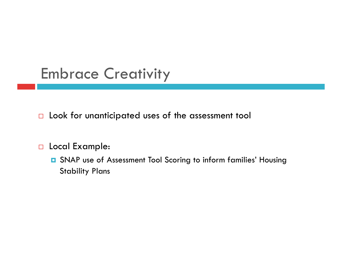## Embrace Creativity

D Look for unanticipated uses of the assessment tool

#### D Local Example:

 SNAP use of Assessment Tool Scoring to inform families' Housing Stability Plans